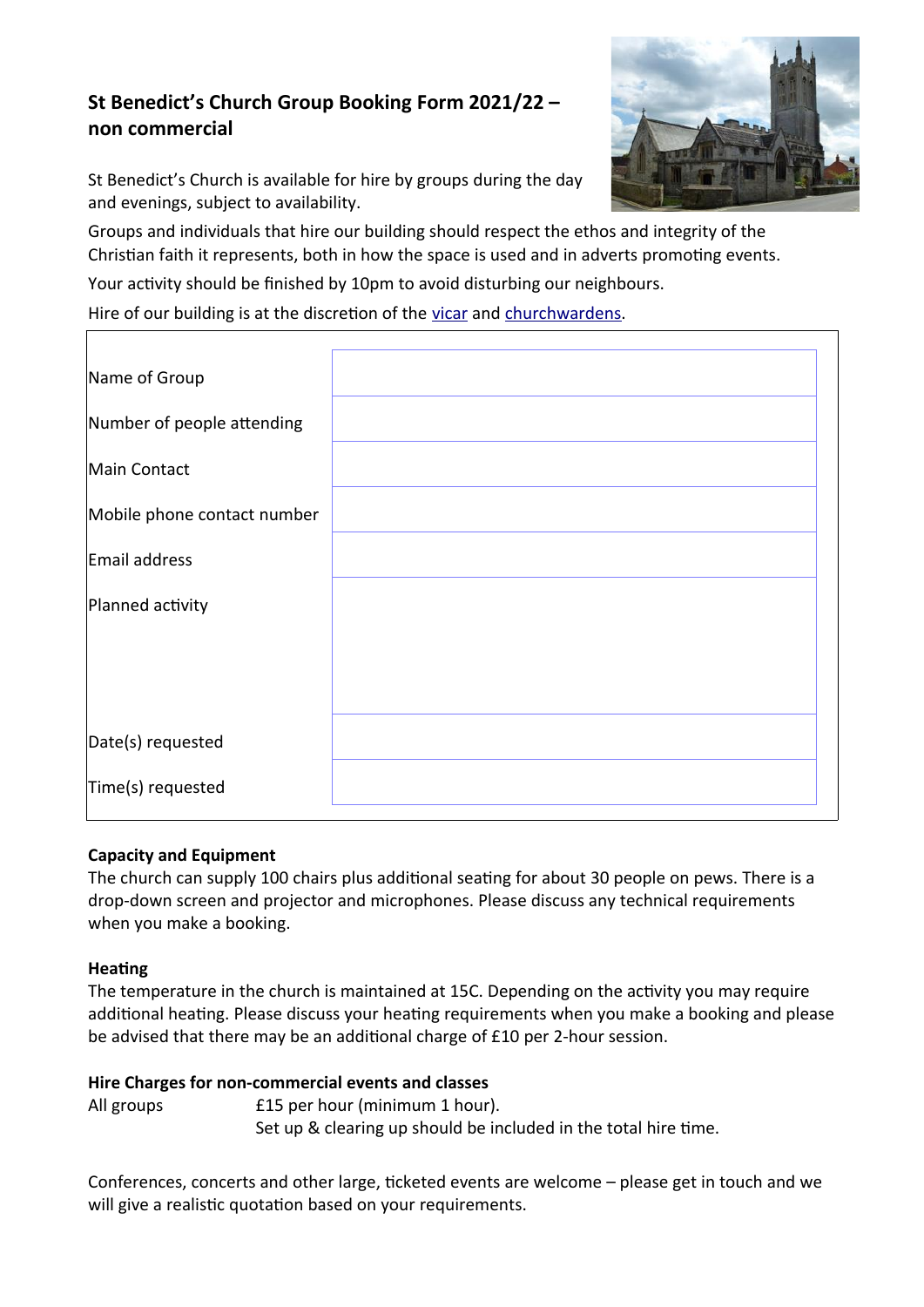# **St Benedict's Church Group Booking Form 2021/22 – non commercial**

St Benedict's Church is available for hire by groups during the day and evenings, subject to availability.

Groups and individuals that hire our building should respect the ethos and integrity of the Christian faith it represents, both in how the space is used and in adverts promoting events.

Your activity should be finished by 10pm to avoid disturbing our neighbours.

Hire of our building is at the discretion of the [vicar](https://stbens-glastonbury.uk/whos-who#vicar) and [churchwardens](https://stbens-glastonbury.uk/whos-who#churchwardens).

| Name of Group               |  |
|-----------------------------|--|
| Number of people attending  |  |
| Main Contact                |  |
| Mobile phone contact number |  |
| Email address               |  |
| Planned activity            |  |
|                             |  |
|                             |  |
| Date(s) requested           |  |
| Time(s) requested           |  |

## **Capacity and Equipment**

The church can supply 100 chairs plus additional seating for about 30 people on pews. There is a drop-down screen and projector and microphones. Please discuss any technical requirements when you make a booking.

#### **Heating**

The temperature in the church is maintained at 15C. Depending on the activity you may require additional heating. Please discuss your heating requirements when you make a booking and please be advised that there may be an additional charge of £10 per 2-hour session.

#### **Hire Charges for non-commercial events and classes**

All groups **E15** per hour (minimum 1 hour). Set up & clearing up should be included in the total hire time.

Conferences, concerts and other large, ticketed events are welcome – please get in touch and we will give a realistic quotation based on your requirements.